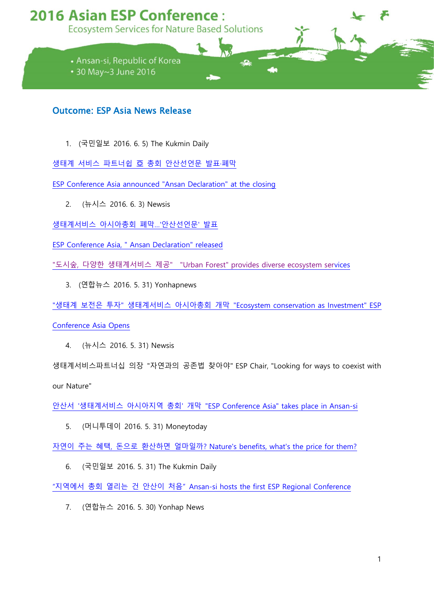## **2016 Asian ESP Conference:**

**Ecosystem Services for Nature Based Solutions** 

- Ansan-si, Republic of Korea
- 30 May~3 June 2016

## Outcome: ESP Asia News Release

1. (국민일보 2016. 6. 5) The Kukmin Daily

생태계 서비스 파트너쉽 亞 총회 [안산선언문](http://news.kmib.co.kr/article/view.asp?arcid=0923556304&code=11131412&cp=nv) 발표·폐막

[ESP Conference Asia announced "Ansan Declaration" at the closing](http://news.kmib.co.kr/article/view.asp?arcid=0923556304&code=11131412&cp=nv)

2. (뉴시스 2016. 6. 3) Newsis

[생태계서비스](http://www.newsis.com/ar_detail/view.html?ar_id=NISX20160603_0014128036&cID=10803&pID=10800) 아시아총회 폐막…'안산선언문' 발표

[ESP Conference Asia, " Ansan Declaration" released](http://www.newsis.com/ar_detail/view.html?ar_id=NISX20160603_0014128036&cID=10803&pID=10800)

"도시숲, 다양한 생태계서비스 제공[" "Urban Forest" provides diverse ecosystem serv](http://www.newsis.com/ar_detail/view.html?cID=article&ar_id=NISX20160603_0014128038)ices

3. (연합뉴스 2016. 5. 31) Yonhapnews

"생태계 보전은 투자" 생태계서비스 아시아총회 개막 "Ecosystem [conservation as Investment" ESP](http://www.yonhapnews.co.kr/bulletin/2016/05/31/0200000000AKR20160531171100061.HTML?input=1195m) 

[Conference Asia Opens](http://www.yonhapnews.co.kr/bulletin/2016/05/31/0200000000AKR20160531171100061.HTML?input=1195m)

4. (뉴시스 2016. 5. 31) Newsis

생태계서비스파트너십 의장 "자연과의 공존법 찾아야" [ESP Chair, "Looking for ways to coexist with](http://www.newsis.com/ar_detail/view.html?ar_id=NISX20160531_0014119482&cID=10803&pID=10800)  [our Nature"](http://www.newsis.com/ar_detail/view.html?ar_id=NISX20160531_0014119482&cID=10803&pID=10800)

안산서 '생태계서비스 아시아지역 총회' 개막 "ESP [Conference Asia" takes place](http://www.newsis.com/ar_detail/view.html?ar_id=NISX20160531_0014119261&cID=10803&pID=10800) in Ansan-si

5. (머니투데이 2016. 5. 31) Moneytoday

자연이 주는 혜택, 돈으로 환산하면 얼마일까? [Nature's benefits, what's the price for them?](http://www.mt.co.kr/view/mtview.php?type=1&no=2016053112324918897&outlink=1)

6. (국민일보 2016. 5. 31) The Kukmin Daily

"지역에서 총회 열리는 건 안산이 처음" [Ansan-si hosts the first ESP Regional Conference](http://news.kmib.co.kr/article/view.asp?arcid=0923549791&code=11131100&cp=nv)

7. (연합뉴스 2016. 5. 30) Yonhap News